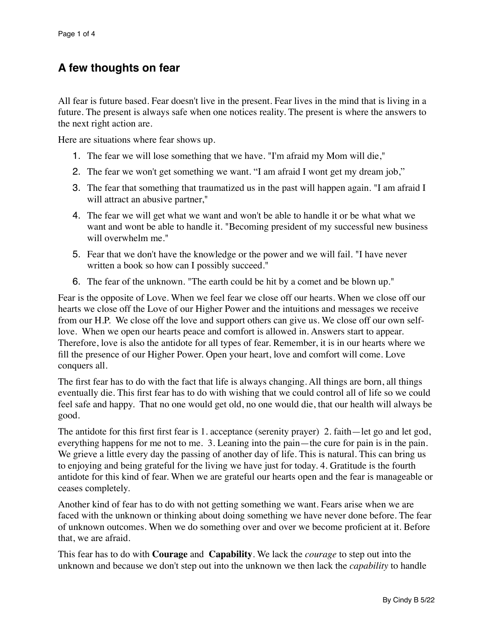## **A few thoughts on fear**

All fear is future based. Fear doesn't live in the present. Fear lives in the mind that is living in a future. The present is always safe when one notices reality. The present is where the answers to the next right action are.

Here are situations where fear shows up.

- 1. The fear we will lose something that we have. "I'm afraid my Mom will die,"
- 2. The fear we won't get something we want. "I am afraid I wont get my dream job,"
- 3. The fear that something that traumatized us in the past will happen again. "I am afraid I will attract an abusive partner,"
- 4. The fear we will get what we want and won't be able to handle it or be what what we want and wont be able to handle it. "Becoming president of my successful new business will overwhelm me."
- 5. Fear that we don't have the knowledge or the power and we will fail. "I have never written a book so how can I possibly succeed."
- 6. The fear of the unknown. "The earth could be hit by a comet and be blown up."

Fear is the opposite of Love. When we feel fear we close off our hearts. When we close off our hearts we close off the Love of our Higher Power and the intuitions and messages we receive from our H.P. We close off the love and support others can give us. We close off our own selflove. When we open our hearts peace and comfort is allowed in. Answers start to appear. Therefore, love is also the antidote for all types of fear. Remember, it is in our hearts where we fill the presence of our Higher Power. Open your heart, love and comfort will come. Love conquers all.

The first fear has to do with the fact that life is always changing. All things are born, all things eventually die. This first fear has to do with wishing that we could control all of life so we could feel safe and happy. That no one would get old, no one would die, that our health will always be good.

The antidote for this first first fear is 1. acceptance (serenity prayer) 2. faith—let go and let god, everything happens for me not to me. 3. Leaning into the pain—the cure for pain is in the pain. We grieve a little every day the passing of another day of life. This is natural. This can bring us to enjoying and being grateful for the living we have just for today. 4. Gratitude is the fourth antidote for this kind of fear. When we are grateful our hearts open and the fear is manageable or ceases completely.

Another kind of fear has to do with not getting something we want. Fears arise when we are faced with the unknown or thinking about doing something we have never done before. The fear of unknown outcomes. When we do something over and over we become proficient at it. Before that, we are afraid.

This fear has to do with **Courage** and **Capability**. We lack the *courage* to step out into the unknown and because we don't step out into the unknown we then lack the *capability* to handle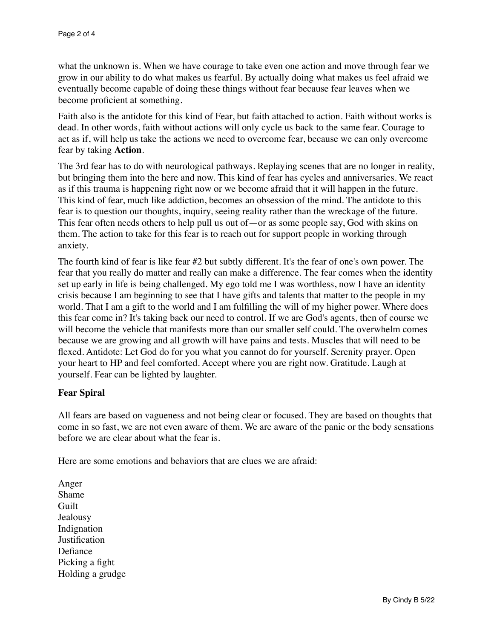what the unknown is. When we have courage to take even one action and move through fear we grow in our ability to do what makes us fearful. By actually doing what makes us feel afraid we eventually become capable of doing these things without fear because fear leaves when we become proficient at something.

Faith also is the antidote for this kind of Fear, but faith attached to action. Faith without works is dead. In other words, faith without actions will only cycle us back to the same fear. Courage to act as if, will help us take the actions we need to overcome fear, because we can only overcome fear by taking **Action**.

The 3rd fear has to do with neurological pathways. Replaying scenes that are no longer in reality, but bringing them into the here and now. This kind of fear has cycles and anniversaries. We react as if this trauma is happening right now or we become afraid that it will happen in the future. This kind of fear, much like addiction, becomes an obsession of the mind. The antidote to this fear is to question our thoughts, inquiry, seeing reality rather than the wreckage of the future. This fear often needs others to help pull us out of—or as some people say, God with skins on them. The action to take for this fear is to reach out for support people in working through anxiety.

The fourth kind of fear is like fear #2 but subtly different. It's the fear of one's own power. The fear that you really do matter and really can make a difference. The fear comes when the identity set up early in life is being challenged. My ego told me I was worthless, now I have an identity crisis because I am beginning to see that I have gifts and talents that matter to the people in my world. That I am a gift to the world and I am fulfilling the will of my higher power. Where does this fear come in? It's taking back our need to control. If we are God's agents, then of course we will become the vehicle that manifests more than our smaller self could. The overwhelm comes because we are growing and all growth will have pains and tests. Muscles that will need to be flexed. Antidote: Let God do for you what you cannot do for yourself. Serenity prayer. Open your heart to HP and feel comforted. Accept where you are right now. Gratitude. Laugh at yourself. Fear can be lighted by laughter.

## **Fear Spiral**

All fears are based on vagueness and not being clear or focused. They are based on thoughts that come in so fast, we are not even aware of them. We are aware of the panic or the body sensations before we are clear about what the fear is.

Here are some emotions and behaviors that are clues we are afraid:

Anger Shame Guilt Jealousy Indignation **Iustification** Defiance Picking a fight Holding a grudge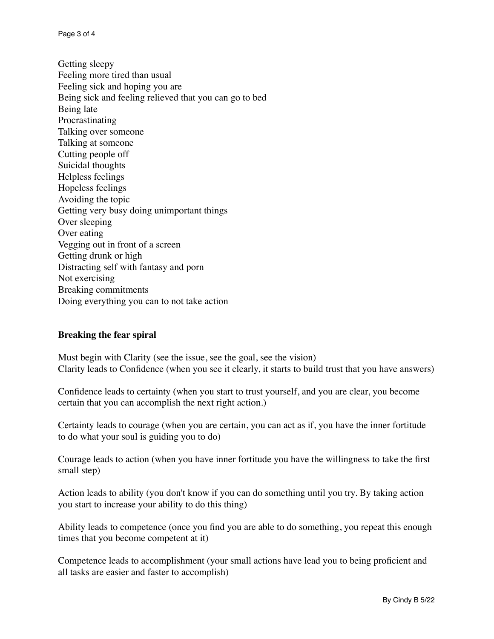Page 3 of 4

Getting sleepy Feeling more tired than usual Feeling sick and hoping you are Being sick and feeling relieved that you can go to bed Being late Procrastinating Talking over someone Talking at someone Cutting people off Suicidal thoughts Helpless feelings Hopeless feelings Avoiding the topic Getting very busy doing unimportant things Over sleeping Over eating Vegging out in front of a screen Getting drunk or high Distracting self with fantasy and porn Not exercising Breaking commitments Doing everything you can to not take action

## **Breaking the fear spiral**

Must begin with Clarity (see the issue, see the goal, see the vision) Clarity leads to Confidence (when you see it clearly, it starts to build trust that you have answers)

Confidence leads to certainty (when you start to trust yourself, and you are clear, you become certain that you can accomplish the next right action.)

Certainty leads to courage (when you are certain, you can act as if, you have the inner fortitude to do what your soul is guiding you to do)

Courage leads to action (when you have inner fortitude you have the willingness to take the first small step)

Action leads to ability (you don't know if you can do something until you try. By taking action you start to increase your ability to do this thing)

Ability leads to competence (once you find you are able to do something, you repeat this enough times that you become competent at it)

Competence leads to accomplishment (your small actions have lead you to being proficient and all tasks are easier and faster to accomplish)